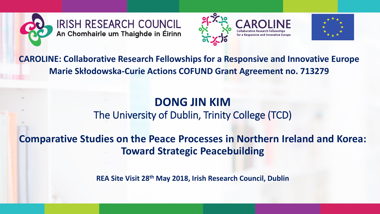





**CAROLINE: Collaborative Research Fellowships for a Responsive and Innovative Europe Marie Skłodowska-Curie Actions COFUND Grant Agreement no. 713279**

#### **DONG JIN KIM** The University of Dublin, Trinity College (TCD)

**Comparative Studies on the Peace Processes in Northern Ireland and Korea: Toward Strategic Peacebuilding**

**REA Site Visit 28th May 2018, Irish Research Council, Dublin**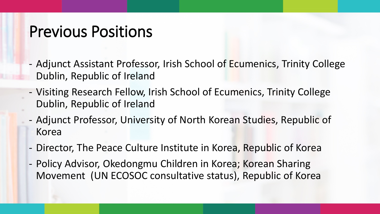#### Previous Positions

- Adjunct Assistant Professor, Irish School of Ecumenics, Trinity College Dublin, Republic of Ireland
- Visiting Research Fellow, Irish School of Ecumenics, Trinity College Dublin, Republic of Ireland
- Adjunct Professor, University of North Korean Studies, Republic of Korea
- Director, The Peace Culture Institute in Korea, Republic of Korea
- Policy Advisor, Okedongmu Children in Korea; Korean Sharing Movement (UN ECOSOC consultative status), Republic of Korea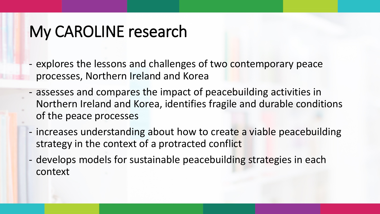# My CAROLINE research

- explores the lessons and challenges of two contemporary peace processes, Northern Ireland and Korea
- assesses and compares the impact of peacebuilding activities in Northern Ireland and Korea, identifies fragile and durable conditions of the peace processes
- increases understanding about how to create a viable peacebuilding strategy in the context of a protracted conflict
- develops models for sustainable peacebuilding strategies in each context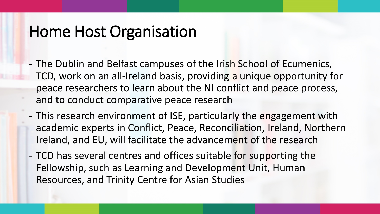#### Home Host Organisation

- The Dublin and Belfast campuses of the Irish School of Ecumenics, TCD, work on an all-Ireland basis, providing a unique opportunity for peace researchers to learn about the NI conflict and peace process, and to conduct comparative peace research
- This research environment of ISE, particularly the engagement with academic experts in Conflict, Peace, Reconciliation, Ireland, Northern Ireland, and EU, will facilitate the advancement of the research
- TCD has several centres and offices suitable for supporting the Fellowship, such as Learning and Development Unit, Human Resources, and Trinity Centre for Asian Studies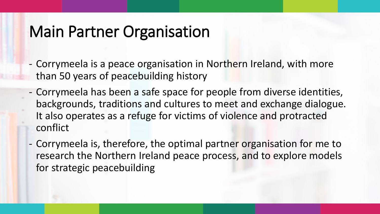## Main Partner Organisation

- Corrymeela is a peace organisation in Northern Ireland, with more than 50 years of peacebuilding history
- Corrymeela has been a safe space for people from diverse identities, backgrounds, traditions and cultures to meet and exchange dialogue. It also operates as a refuge for victims of violence and protracted conflict
- Corrymeela is, therefore, the optimal partner organisation for me to research the Northern Ireland peace process, and to explore models for strategic peacebuilding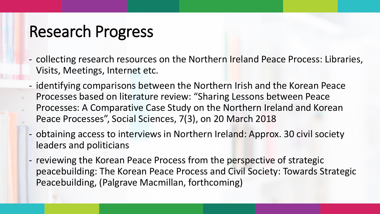# Research Progress

- collecting research resources on the Northern Ireland Peace Process: Libraries, Visits, Meetings, Internet etc.
- identifying comparisons between the Northern Irish and the Korean Peace Processes based on literature review: "Sharing Lessons between Peace
- Processes: A Comparative Case Study on the Northern Ireland and Korean Peace Processes", Social Sciences, 7(3), on 20 March 2018
- obtaining access to interviews in Northern Ireland: Approx. 30 civil society leaders and politicians
- reviewing the Korean Peace Process from the perspective of strategic peacebuilding: The Korean Peace Process and Civil Society: Towards Strategic Peacebuilding, (Palgrave Macmillan, forthcoming)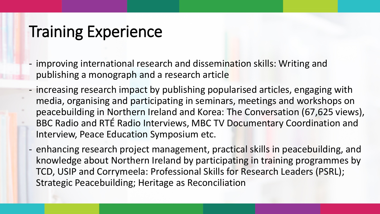# Training Experience

- improving international research and dissemination skills: Writing and publishing a monograph and a research article
- increasing research impact by publishing popularised articles, engaging with media, organising and participating in seminars, meetings and workshops on peacebuilding in Northern Ireland and Korea: The Conversation (67,625 views), BBC Radio and RTÉ Radio Interviews, MBC TV Documentary Coordination and Interview, Peace Education Symposium etc.
- enhancing research project management, practical skills in peacebuilding, and knowledge about Northern Ireland by participating in training programmes by TCD, USIP and Corrymeela: Professional Skills for Research Leaders (PSRL); Strategic Peacebuilding; Heritage as Reconciliation